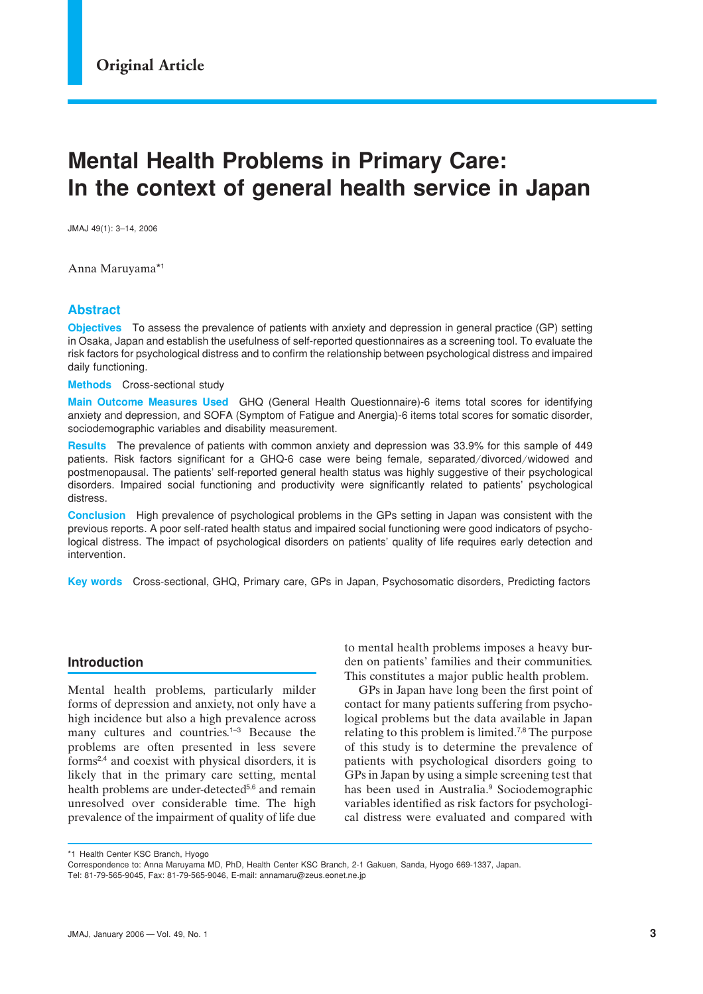# **Mental Health Problems in Primary Care: In the context of general health service in Japan**

JMAJ 49(1): 3–14, 2006

Anna Maruyama\*1

# **Abstract**

**Objectives** To assess the prevalence of patients with anxiety and depression in general practice (GP) setting in Osaka, Japan and establish the usefulness of self-reported questionnaires as a screening tool. To evaluate the risk factors for psychological distress and to confirm the relationship between psychological distress and impaired daily functioning.

**Methods** Cross-sectional study

**Main Outcome Measures Used** GHQ (General Health Questionnaire)-6 items total scores for identifying anxiety and depression, and SOFA (Symptom of Fatigue and Anergia)-6 items total scores for somatic disorder, sociodemographic variables and disability measurement.

**Results** The prevalence of patients with common anxiety and depression was 33.9% for this sample of 449 patients. Risk factors significant for a GHQ-6 case were being female, separated/divorced/widowed and postmenopausal. The patients' self-reported general health status was highly suggestive of their psychological disorders. Impaired social functioning and productivity were significantly related to patients' psychological distress.

**Conclusion** High prevalence of psychological problems in the GPs setting in Japan was consistent with the previous reports. A poor self-rated health status and impaired social functioning were good indicators of psychological distress. The impact of psychological disorders on patients' quality of life requires early detection and intervention.

**Key words** Cross-sectional, GHQ, Primary care, GPs in Japan, Psychosomatic disorders, Predicting factors

## **Introduction**

Mental health problems, particularly milder forms of depression and anxiety, not only have a high incidence but also a high prevalence across many cultures and countries.<sup>1–3</sup> Because the problems are often presented in less severe forms2,4 and coexist with physical disorders, it is likely that in the primary care setting, mental health problems are under-detected<sup>5,6</sup> and remain unresolved over considerable time. The high prevalence of the impairment of quality of life due

to mental health problems imposes a heavy burden on patients' families and their communities. This constitutes a major public health problem.

GPs in Japan have long been the first point of contact for many patients suffering from psychological problems but the data available in Japan relating to this problem is limited.7,8 The purpose of this study is to determine the prevalence of patients with psychological disorders going to GPs in Japan by using a simple screening test that has been used in Australia.<sup>9</sup> Sociodemographic variables identified as risk factors for psychological distress were evaluated and compared with

\*1 Health Center KSC Branch, Hyogo

Correspondence to: Anna Maruyama MD, PhD, Health Center KSC Branch, 2-1 Gakuen, Sanda, Hyogo 669-1337, Japan.

Tel: 81-79-565-9045, Fax: 81-79-565-9046, E-mail: annamaru@zeus.eonet.ne.jp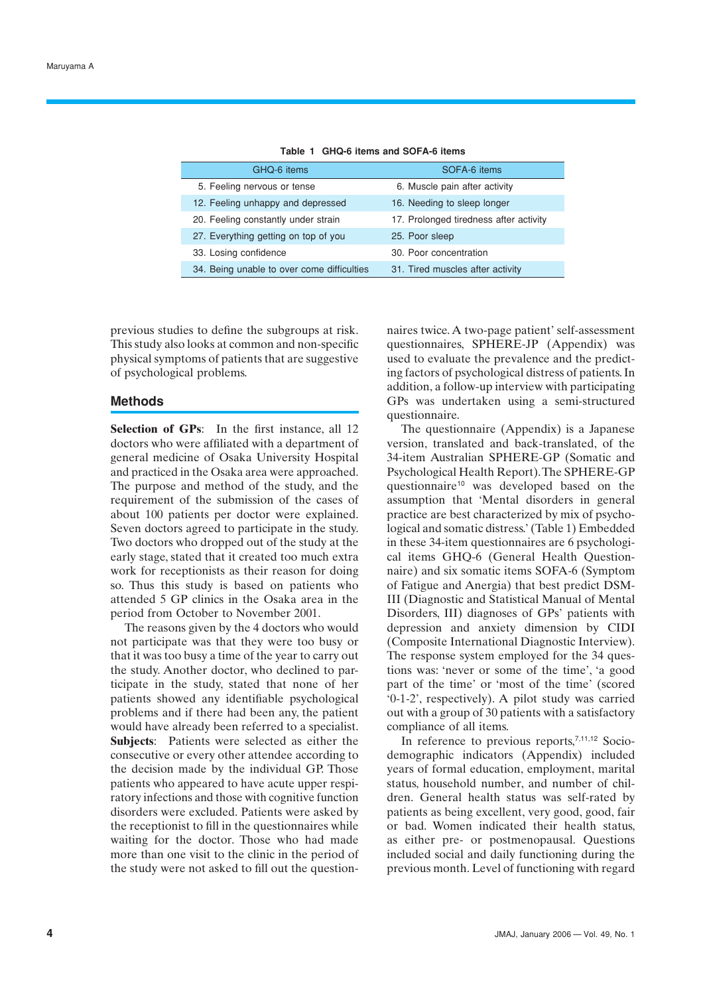| GHQ-6 items                                | SOFA-6 items                           |
|--------------------------------------------|----------------------------------------|
| 5. Feeling nervous or tense                | 6. Muscle pain after activity          |
| 12. Feeling unhappy and depressed          | 16. Needing to sleep longer            |
| 20. Feeling constantly under strain        | 17. Prolonged tiredness after activity |
| 27. Everything getting on top of you       | 25. Poor sleep                         |
| 33. Losing confidence                      | 30. Poor concentration                 |
| 34. Being unable to over come difficulties | 31. Tired muscles after activity       |

**Table 1 GHQ-6 items and SOFA-6 items**

previous studies to define the subgroups at risk. This study also looks at common and non-specific physical symptoms of patients that are suggestive of psychological problems.

## **Methods**

**Selection of GPs**: In the first instance, all 12 doctors who were affiliated with a department of general medicine of Osaka University Hospital and practiced in the Osaka area were approached. The purpose and method of the study, and the requirement of the submission of the cases of about 100 patients per doctor were explained. Seven doctors agreed to participate in the study. Two doctors who dropped out of the study at the early stage, stated that it created too much extra work for receptionists as their reason for doing so. Thus this study is based on patients who attended 5 GP clinics in the Osaka area in the period from October to November 2001.

The reasons given by the 4 doctors who would not participate was that they were too busy or that it was too busy a time of the year to carry out the study. Another doctor, who declined to participate in the study, stated that none of her patients showed any identifiable psychological problems and if there had been any, the patient would have already been referred to a specialist. **Subjects**: Patients were selected as either the consecutive or every other attendee according to the decision made by the individual GP. Those patients who appeared to have acute upper respiratory infections and those with cognitive function disorders were excluded. Patients were asked by the receptionist to fill in the questionnaires while waiting for the doctor. Those who had made more than one visit to the clinic in the period of the study were not asked to fill out the questionnaires twice. A two-page patient' self-assessment questionnaires, SPHERE-JP (Appendix) was used to evaluate the prevalence and the predicting factors of psychological distress of patients. In addition, a follow-up interview with participating GPs was undertaken using a semi-structured questionnaire.

The questionnaire (Appendix) is a Japanese version, translated and back-translated, of the 34-item Australian SPHERE-GP (Somatic and Psychological Health Report). The SPHERE-GP questionnaire<sup>10</sup> was developed based on the assumption that 'Mental disorders in general practice are best characterized by mix of psychological and somatic distress.' (Table 1) Embedded in these 34-item questionnaires are 6 psychological items GHQ-6 (General Health Questionnaire) and six somatic items SOFA-6 (Symptom of Fatigue and Anergia) that best predict DSM-III (Diagnostic and Statistical Manual of Mental Disorders, III) diagnoses of GPs' patients with depression and anxiety dimension by CIDI (Composite International Diagnostic Interview). The response system employed for the 34 questions was: 'never or some of the time', 'a good part of the time' or 'most of the time' (scored '0-1-2', respectively). A pilot study was carried out with a group of 30 patients with a satisfactory compliance of all items.

In reference to previous reports,<sup>7,11,12</sup> Sociodemographic indicators (Appendix) included years of formal education, employment, marital status, household number, and number of children. General health status was self-rated by patients as being excellent, very good, good, fair or bad. Women indicated their health status, as either pre- or postmenopausal. Questions included social and daily functioning during the previous month. Level of functioning with regard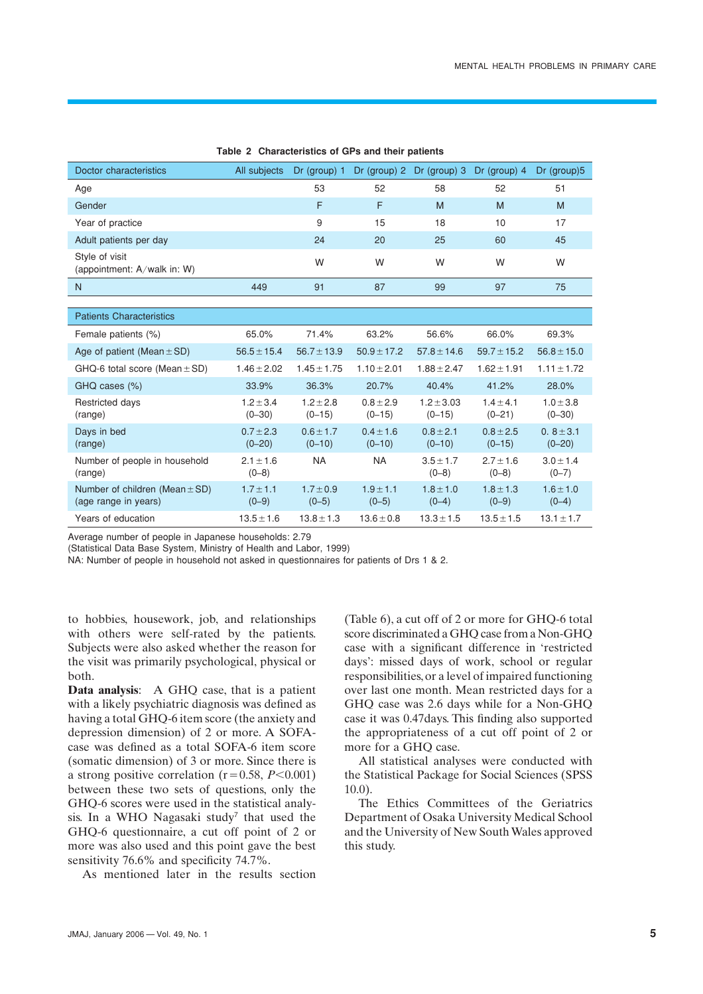| Doctor characteristics                                     | All subjects                | Dr (group) $1$              |                             | Dr (group) $2$ Dr (group) $3$ | Dr (group) $4$            | $Dr$ (group) $5$            |
|------------------------------------------------------------|-----------------------------|-----------------------------|-----------------------------|-------------------------------|---------------------------|-----------------------------|
| Age                                                        |                             | 53                          | 52                          | 58                            | 52                        | 51                          |
| Gender                                                     |                             | F                           | F                           | M                             | M                         | M                           |
| Year of practice                                           |                             | 9                           | 15                          | 18                            | 10                        | 17                          |
| Adult patients per day                                     |                             | 24                          | 20                          | 25                            | 60                        | 45                          |
| Style of visit<br>(appointment: A/walk in: W)              |                             | W                           | W                           | W                             | W                         | W                           |
| N                                                          | 449                         | 91                          | 87                          | 99                            | 97                        | 75                          |
|                                                            |                             |                             |                             |                               |                           |                             |
| <b>Patients Characteristics</b>                            |                             |                             |                             |                               |                           |                             |
| Female patients (%)                                        | 65.0%                       | 71.4%                       | 63.2%                       | 56.6%                         | 66.0%                     | 69.3%                       |
| Age of patient (Mean $\pm$ SD)                             | $56.5 \pm 15.4$             | $56.7 \pm 13.9$             | $50.9 \pm 17.2$             | $57.8 \pm 14.6$               | $59.7 \pm 15.2$           | $56.8 \pm 15.0$             |
| GHQ-6 total score (Mean $\pm$ SD)                          | $1.46 \pm 2.02$             | $1.45 \pm 1.75$             | $1.10 \pm 2.01$             | $1.88 \pm 2.47$               | $1.62 \pm 1.91$           | $1.11 \pm 1.72$             |
| GHQ cases (%)                                              | 33.9%                       | 36.3%                       | 20.7%                       | 40.4%                         | 41.2%                     | 28.0%                       |
| <b>Restricted days</b><br>(range)                          | $1.2 \pm 3.4$<br>$(0 - 30)$ | $1.2 \pm 2.8$<br>$(0 - 15)$ | $0.8 \pm 2.9$<br>$(0 - 15)$ | $1.2 \pm 3.03$<br>$(0 - 15)$  | $1.4 + 4.1$<br>$(0 - 21)$ | $1.0 \pm 3.8$<br>$(0 - 30)$ |
| Days in bed<br>(range)                                     | $0.7 + 2.3$<br>$(0 - 20)$   | $0.6 + 1.7$<br>$(0 - 10)$   | $0.4 + 1.6$<br>$(0 - 10)$   | $0.8 + 2.1$<br>$(0 - 10)$     | $0.8 + 2.5$<br>$(0 - 15)$ | $0.8 + 3.1$<br>$(0 - 20)$   |
| Number of people in household<br>(range)                   | $2.1 + 1.6$<br>$(0-8)$      | <b>NA</b>                   | <b>NA</b>                   | $3.5 + 1.7$<br>$(0-8)$        | $2.7 + 1.6$<br>$(0-8)$    | $3.0 + 1.4$<br>$(0 - 7)$    |
| Number of children (Mean $\pm$ SD)<br>(age range in years) | $1.7 \pm 1.1$<br>$(0-9)$    | $1.7 \pm 0.9$<br>$(0-5)$    | $1.9 + 1.1$<br>$(0-5)$      | $1.8 + 1.0$<br>$(0-4)$        | $1.8 + 1.3$<br>$(0-9)$    | $1.6 + 1.0$<br>$(0-4)$      |
| Years of education                                         | $13.5 \pm 1.6$              | $13.8 \pm 1.3$              | $13.6 \pm 0.8$              | $13.3 \pm 1.5$                | $13.5 \pm 1.5$            | $13.1 \pm 1.7$              |

**Table 2 Characteristics of GPs and their patients**

Average number of people in Japanese households: 2.79

(Statistical Data Base System, Ministry of Health and Labor, 1999)

NA: Number of people in household not asked in questionnaires for patients of Drs 1 & 2.

to hobbies, housework, job, and relationships with others were self-rated by the patients. Subjects were also asked whether the reason for the visit was primarily psychological, physical or both.

**Data analysis**: A GHQ case, that is a patient with a likely psychiatric diagnosis was defined as having a total GHQ-6 item score (the anxiety and depression dimension) of 2 or more. A SOFAcase was defined as a total SOFA-6 item score (somatic dimension) of 3 or more. Since there is a strong positive correlation  $(r=0.58, P<0.001)$ between these two sets of questions, only the GHQ-6 scores were used in the statistical analysis. In a WHO Nagasaki study<sup>7</sup> that used the GHQ-6 questionnaire, a cut off point of 2 or more was also used and this point gave the best sensitivity 76.6% and specificity 74.7%.

As mentioned later in the results section

(Table 6), a cut off of 2 or more for GHQ-6 total score discriminated a GHQ case from a Non-GHQ case with a significant difference in 'restricted days': missed days of work, school or regular responsibilities, or a level of impaired functioning over last one month. Mean restricted days for a GHQ case was 2.6 days while for a Non-GHQ case it was 0.47days. This finding also supported the appropriateness of a cut off point of 2 or more for a GHO case.

All statistical analyses were conducted with the Statistical Package for Social Sciences (SPSS 10.0).

The Ethics Committees of the Geriatrics Department of Osaka University Medical School and the University of New South Wales approved this study.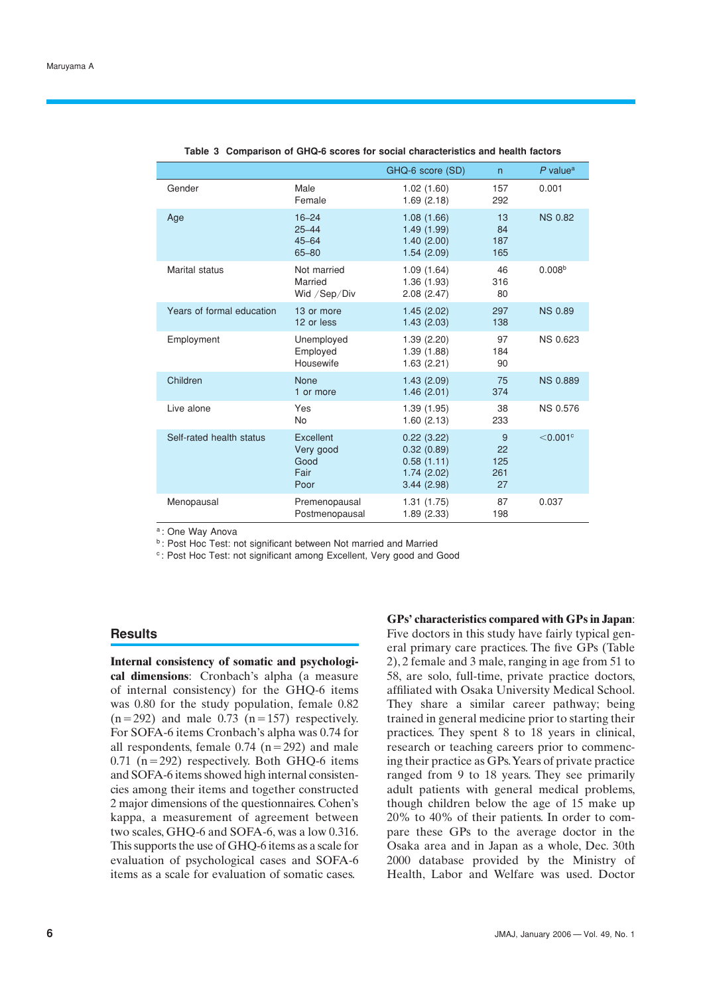|                           |                                                  | GHQ-6 score (SD)                                                   | $\mathsf{n}$                | $P$ value <sup>a</sup> |
|---------------------------|--------------------------------------------------|--------------------------------------------------------------------|-----------------------------|------------------------|
| Gender                    | Male<br>Female                                   | 1.02(1.60)<br>1.69(2.18)                                           | 157<br>292                  | 0.001                  |
| Age                       | $16 - 24$<br>$25 - 44$<br>$45 - 64$<br>$65 - 80$ | 1.08(1.66)<br>1.49(1.99)<br>1.40(2.00)<br>1.54(2.09)               | 13<br>84<br>187<br>165      | <b>NS 0.82</b>         |
| <b>Marital status</b>     | Not married<br>Married<br>Wid / Sep/Div          | 1.09(1.64)<br>1.36(1.93)<br>2.08(2.47)                             | 46<br>316<br>80             | 0.008 <sup>b</sup>     |
| Years of formal education | 13 or more<br>12 or less                         | 1.45(2.02)<br>1.43(2.03)                                           | 297<br>138                  | <b>NS 0.89</b>         |
| Employment                | Unemployed<br>Employed<br>Housewife              | 1.39(2.20)<br>1.39(1.88)<br>1.63(2.21)                             | 97<br>184<br>90             | <b>NS 0.623</b>        |
| Children                  | <b>None</b><br>1 or more                         | 1.43(2.09)<br>1.46(2.01)                                           | 75<br>374                   | <b>NS 0.889</b>        |
| Live alone                | Yes<br>No                                        | 1.39(1.95)<br>1.60(2.13)                                           | 38<br>233                   | <b>NS 0.576</b>        |
| Self-rated health status  | Excellent<br>Very good<br>Good<br>Fair<br>Poor   | 0.22(3.22)<br>0.32(0.89)<br>0.58(1.11)<br>1.74(2.02)<br>3.44(2.98) | 9<br>22<br>125<br>261<br>27 | $<$ 0.001 $\circ$      |
| Menopausal                | Premenopausal<br>Postmenopausal                  | 1.31(1.75)<br>1.89 (2.33)                                          | 87<br>198                   | 0.037                  |

**Table 3 Comparison of GHQ-6 scores for social characteristics and health factors**

a : One Way Anova

**b**: Post Hoc Test: not significant between Not married and Married

<sup>c</sup>: Post Hoc Test: not significant among Excellent, Very good and Good

## **Results**

**Internal consistency of somatic and psychological dimensions**: Cronbach's alpha (a measure of internal consistency) for the GHQ-6 items was 0.80 for the study population, female 0.82  $(n=292)$  and male 0.73  $(n=157)$  respectively. For SOFA-6 items Cronbach's alpha was 0.74 for all respondents, female  $0.74$  (n=292) and male 0.71 ( $n=292$ ) respectively. Both GHQ-6 items and SOFA-6 items showed high internal consistencies among their items and together constructed 2 major dimensions of the questionnaires. Cohen's kappa, a measurement of agreement between two scales, GHQ-6 and SOFA-6, was a low 0.316. This supports the use of GHQ-6 items as a scale for evaluation of psychological cases and SOFA-6 items as a scale for evaluation of somatic cases.

**GPs' characteristics compared with GPs in Japan**: Five doctors in this study have fairly typical general primary care practices. The five GPs (Table 2), 2 female and 3 male, ranging in age from 51 to 58, are solo, full-time, private practice doctors, affiliated with Osaka University Medical School. They share a similar career pathway; being trained in general medicine prior to starting their practices. They spent 8 to 18 years in clinical, research or teaching careers prior to commencing their practice as GPs. Years of private practice ranged from 9 to 18 years. They see primarily adult patients with general medical problems, though children below the age of 15 make up 20% to 40% of their patients. In order to compare these GPs to the average doctor in the Osaka area and in Japan as a whole, Dec. 30th 2000 database provided by the Ministry of Health, Labor and Welfare was used. Doctor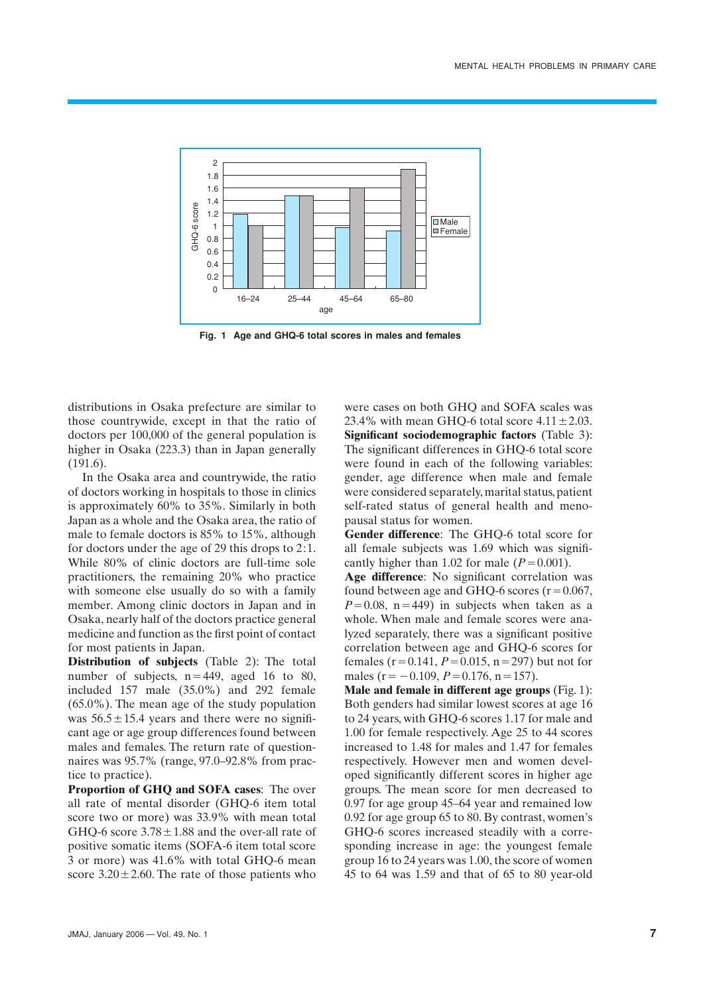

**Fig. 1 Age and GHQ-6 total scores in males and females**

distributions in Osaka prefecture are similar to those countrywide, except in that the ratio of doctors per 100,000 of the general population is higher in Osaka (223.3) than in Japan generally (191.6).

In the Osaka area and countrywide, the ratio of doctors working in hospitals to those in clinics is approximately 60% to 35%. Similarly in both Japan as a whole and the Osaka area, the ratio of male to female doctors is 85% to 15%, although for doctors under the age of 29 this drops to 2:1. While 80% of clinic doctors are full-time sole practitioners, the remaining 20% who practice with someone else usually do so with a family member. Among clinic doctors in Japan and in Osaka, nearly half of the doctors practice general medicine and function as the first point of contact for most patients in Japan.

**Distribution of subjects** (Table 2): The total number of subjects,  $n=449$ , aged 16 to 80, included 157 male (35.0%) and 292 female (65.0%). The mean age of the study population was  $56.5 \pm 15.4$  years and there were no significant age or age group differences found between males and females. The return rate of questionnaires was 95.7% (range, 97.0–92.8% from practice to practice).

**Proportion of GHQ and SOFA cases**: The over all rate of mental disorder (GHQ-6 item total score two or more) was 33.9% with mean total GHQ-6 score  $3.78 \pm 1.88$  and the over-all rate of positive somatic items (SOFA-6 item total score 3 or more) was 41.6% with total GHQ-6 mean score  $3.20 \pm 2.60$ . The rate of those patients who

were cases on both GHQ and SOFA scales was 23.4% with mean GHQ-6 total score  $4.11 \pm 2.03$ . **Significant sociodemographic factors** (Table 3): The significant differences in GHQ-6 total score were found in each of the following variables: gender, age difference when male and female were considered separately, marital status, patient self-rated status of general health and menopausal status for women.

**Gender difference**: The GHQ-6 total score for all female subjects was 1.69 which was significantly higher than 1.02 for male  $(P=0.001)$ .

**Age difference**: No significant correlation was found between age and GHO-6 scores  $(r=0.067)$ ,  $P=0.08$ ,  $n=449$ ) in subjects when taken as a whole. When male and female scores were analyzed separately, there was a significant positive correlation between age and GHQ-6 scores for females  $(r=0.141, P=0.015, n=297)$  but not for males ( $r = -0.109$ ,  $P = 0.176$ ,  $n = 157$ ).

**Male and female in different age groups** (Fig. 1): Both genders had similar lowest scores at age 16 to 24 years, with GHQ-6 scores 1.17 for male and 1.00 for female respectively. Age 25 to 44 scores increased to 1.48 for males and 1.47 for females respectively. However men and women developed significantly different scores in higher age groups. The mean score for men decreased to 0.97 for age group 45–64 year and remained low 0.92 for age group 65 to 80. By contrast, women's GHQ-6 scores increased steadily with a corresponding increase in age: the youngest female group 16 to 24 years was 1.00, the score of women 45 to 64 was 1.59 and that of 65 to 80 year-old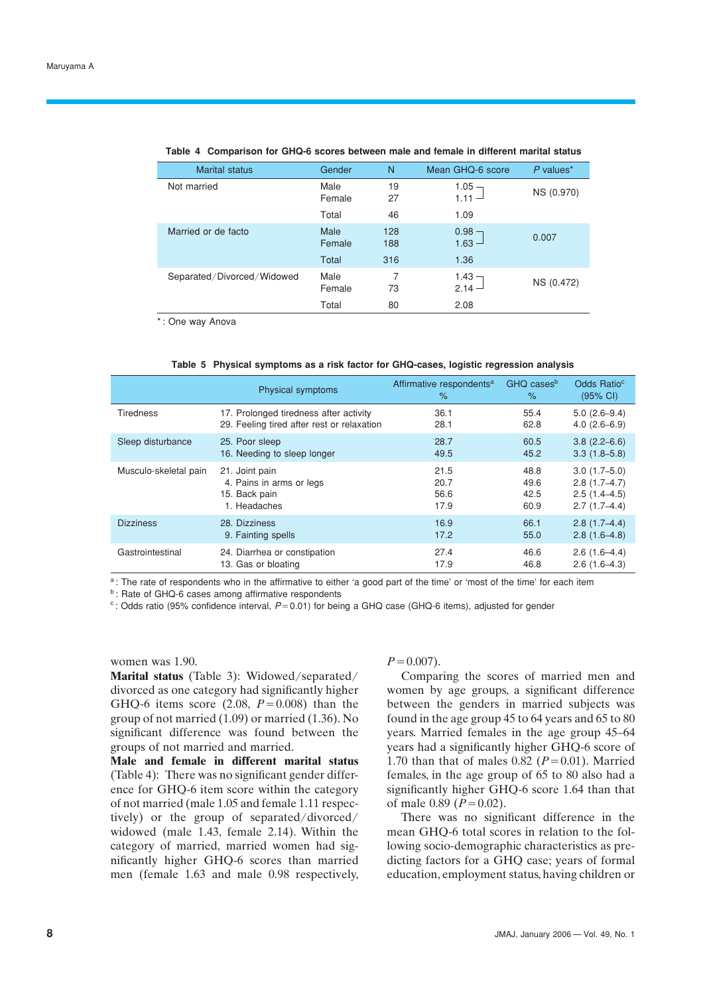| <b>Marital status</b>      | Gender         | N          | Mean GHQ-6 score     | $P$ values* |
|----------------------------|----------------|------------|----------------------|-------------|
| Not married                | Male<br>Female | 19<br>27   | 1.05 $-$<br>$1.11 -$ | NS (0.970)  |
|                            | Total          | 46         | 1.09                 |             |
| Married or de facto        | Male<br>Female | 128<br>188 | $0.98 -$<br>$1.63 -$ | 0.007       |
|                            | Total          | 316        | 1.36                 |             |
| Separated/Divorced/Widowed | Male<br>Female | 7<br>73    | 1.43 $-$<br>$2.14 -$ | NS (0.472)  |
|                            | Total          | 80         | 2.08                 |             |

#### **Table 4 Comparison for GHQ-6 scores between male and female in different marital status**

\*: One way Anova

|  |  | Table 5 Physical symptoms as a risk factor for GHQ-cases, logistic regression analysis |  |  |
|--|--|----------------------------------------------------------------------------------------|--|--|
|  |  |                                                                                        |  |  |

|                       | Physical symptoms                          | Affirmative respondents <sup>a</sup><br>% | GHQ cases <sup>b</sup><br>$\%$ | Odds Ratio <sup>c</sup><br>$(95% \text{ Cl})$ |
|-----------------------|--------------------------------------------|-------------------------------------------|--------------------------------|-----------------------------------------------|
| <b>Tiredness</b>      | 17. Prolonged tiredness after activity     | 36.1                                      | 55.4                           | $5.0(2.6-9.4)$                                |
|                       | 29. Feeling tired after rest or relaxation | 28.1                                      | 62.8                           | $4.0(2.6-6.9)$                                |
| Sleep disturbance     | 25. Poor sleep                             | 28.7                                      | 60.5                           | $3.8(2.2 - 6.6)$                              |
|                       | 16. Needing to sleep longer                | 49.5                                      | 45.2                           | $3.3(1.8-5.8)$                                |
| Musculo-skeletal pain | 21. Joint pain                             | 21.5                                      | 48.8                           | $3.0(1.7-5.0)$                                |
|                       | 4. Pains in arms or legs                   | 20.7                                      | 49.6                           | $2.8(1.7-4.7)$                                |
|                       | 15. Back pain                              | 56.6                                      | 42.5                           | $2.5(1.4 - 4.5)$                              |
|                       | 1. Headaches                               | 17.9                                      | 60.9                           | $2.7(1.7-4.4)$                                |
| <b>Dizziness</b>      | 28. Dizziness                              | 16.9                                      | 66.1                           | $2.8(1.7-4.4)$                                |
|                       | 9. Fainting spells                         | 17.2                                      | 55.0                           | $2.8(1.6-4.8)$                                |
| Gastrointestinal      | 24. Diarrhea or constipation               | 27.4                                      | 46.6                           | $2.6(1.6-4.4)$                                |
|                       | 13. Gas or bloating                        | 17.9                                      | 46.8                           | $2.6(1.6-4.3)$                                |

a: The rate of respondents who in the affirmative to either 'a good part of the time' or 'most of the time' for each item

**b** : Rate of GHQ-6 cases among affirmative respondents

 $c$ : Odds ratio (95% confidence interval,  $P=0.01$ ) for being a GHQ case (GHQ-6 items), adjusted for gender

women was 1.90.

**Marital status** (Table 3): Widowed/separated/ divorced as one category had significantly higher GHQ-6 items score  $(2.08, P=0.008)$  than the group of not married (1.09) or married (1.36). No significant difference was found between the groups of not married and married.

**Male and female in different marital status** (Table 4): There was no significant gender difference for GHQ-6 item score within the category of not married (male 1.05 and female 1.11 respectively) or the group of separated/divorced/ widowed (male 1.43, female 2.14). Within the category of married, married women had significantly higher GHQ-6 scores than married men (female 1.63 and male 0.98 respectively,

## $P = 0.007$ .

Comparing the scores of married men and women by age groups, a significant difference between the genders in married subjects was found in the age group 45 to 64 years and 65 to 80 years. Married females in the age group 45–64 years had a significantly higher GHQ-6 score of 1.70 than that of males  $0.82$  ( $P=0.01$ ). Married females, in the age group of 65 to 80 also had a significantly higher GHQ-6 score 1.64 than that of male  $0.89$  ( $P=0.02$ ).

There was no significant difference in the mean GHQ-6 total scores in relation to the following socio-demographic characteristics as predicting factors for a GHQ case; years of formal education, employment status, having children or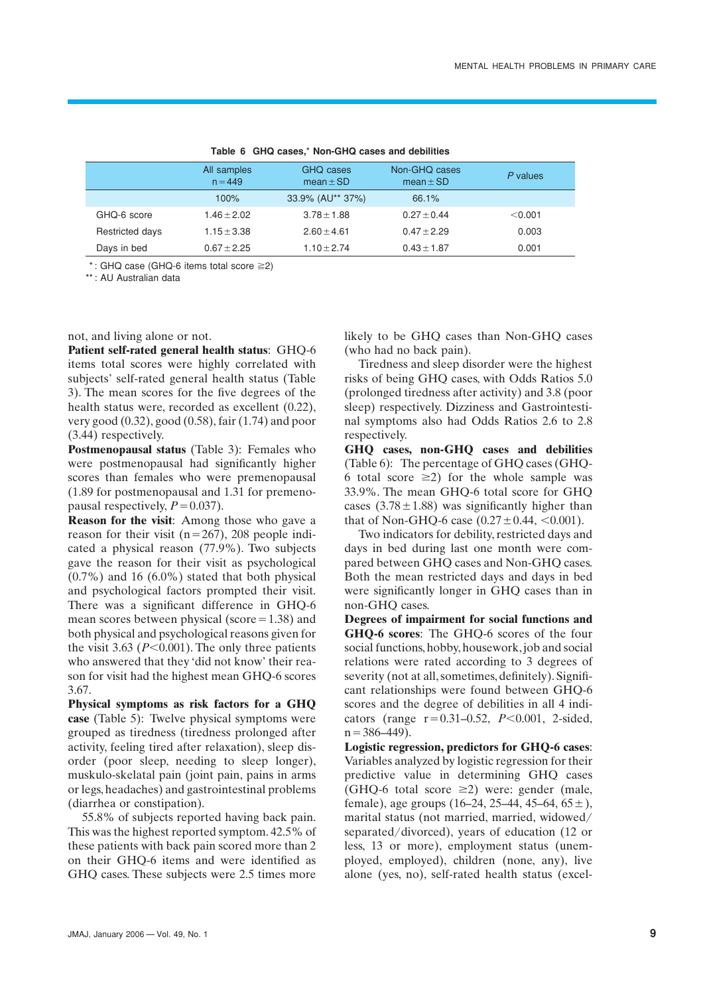|                 | All samples<br>$n = 449$ | GHQ cases<br>$mean \pm SD$ | Non-GHQ cases<br>mean $\pm$ SD | P values  |
|-----------------|--------------------------|----------------------------|--------------------------------|-----------|
|                 | 100%                     | 33.9% (AU** 37%)           | 66.1%                          |           |
| GHQ-6 score     | $1.46 + 2.02$            | $3.78 + 1.88$              | $0.27 + 0.44$                  | $<$ 0.001 |
| Restricted days | $1.15 + 3.38$            | $2.60 + 4.61$              | $0.47 + 2.29$                  | 0.003     |
| Days in bed     | $0.67 + 2.25$            | $1.10 + 2.74$              | $0.43 + 1.87$                  | 0.001     |
|                 |                          |                            |                                |           |

**Table 6 GHQ cases,**\* **Non-GHQ cases and debilities**

 $*$ : GHQ case (GHQ-6 items total score  $\geq$ 2)

\*\*: AU Australian data

not, and living alone or not.

**Patient self-rated general health status**: GHQ-6 items total scores were highly correlated with subjects' self-rated general health status (Table 3). The mean scores for the five degrees of the health status were, recorded as excellent (0.22), very good (0.32), good (0.58), fair (1.74) and poor (3.44) respectively.

**Postmenopausal status** (Table 3): Females who were postmenopausal had significantly higher scores than females who were premenopausal (1.89 for postmenopausal and 1.31 for premenopausal respectively,  $P=0.037$ ).

**Reason for the visit**: Among those who gave a reason for their visit ( $n=267$ ), 208 people indicated a physical reason (77.9%). Two subjects gave the reason for their visit as psychological  $(0.7\%)$  and 16  $(6.0\%)$  stated that both physical and psychological factors prompted their visit. There was a significant difference in GHQ-6 mean scores between physical (score $=1.38$ ) and both physical and psychological reasons given for the visit 3.63 ( $P \le 0.001$ ). The only three patients who answered that they 'did not know' their reason for visit had the highest mean GHQ-6 scores 3.67.

**Physical symptoms as risk factors for a GHQ case** (Table 5): Twelve physical symptoms were grouped as tiredness (tiredness prolonged after activity, feeling tired after relaxation), sleep disorder (poor sleep, needing to sleep longer), muskulo-skelatal pain (joint pain, pains in arms or legs, headaches) and gastrointestinal problems (diarrhea or constipation).

55.8% of subjects reported having back pain. This was the highest reported symptom. 42.5% of these patients with back pain scored more than 2 on their GHQ-6 items and were identified as GHQ cases. These subjects were 2.5 times more

likely to be GHQ cases than Non-GHQ cases (who had no back pain).

Tiredness and sleep disorder were the highest risks of being GHQ cases, with Odds Ratios 5.0 (prolonged tiredness after activity) and 3.8 (poor sleep) respectively. Dizziness and Gastrointestinal symptoms also had Odds Ratios 2.6 to 2.8 respectively.

**GHQ cases, non-GHQ cases and debilities** (Table 6): The percentage of GHQ cases (GHQ-6 total score  $\geq$ 2) for the whole sample was 33.9%. The mean GHQ-6 total score for GHQ cases  $(3.78 \pm 1.88)$  was significantly higher than that of Non-GHQ-6 case  $(0.27 \pm 0.44, \le 0.001)$ .

Two indicators for debility, restricted days and days in bed during last one month were compared between GHQ cases and Non-GHQ cases. Both the mean restricted days and days in bed were significantly longer in GHQ cases than in non-GHQ cases.

**Degrees of impairment for social functions and GHQ-6 scores**: The GHQ-6 scores of the four social functions, hobby, housework, job and social relations were rated according to 3 degrees of severity (not at all, sometimes, definitely). Significant relationships were found between GHQ-6 scores and the degree of debilities in all 4 indicators (range  $r=0.31-0.52$ ,  $P<0.001$ , 2-sided,  $n = 386-449$ ).

**Logistic regression, predictors for GHQ-6 cases**: Variables analyzed by logistic regression for their predictive value in determining GHQ cases (GHQ-6 total score  $\geq$ 2) were: gender (male, female), age groups  $(16-24, 25-44, 45-64, 65 \pm)$ , marital status (not married, married, widowed/ separated/divorced), years of education (12 or less, 13 or more), employment status (unemployed, employed), children (none, any), live alone (yes, no), self-rated health status (excel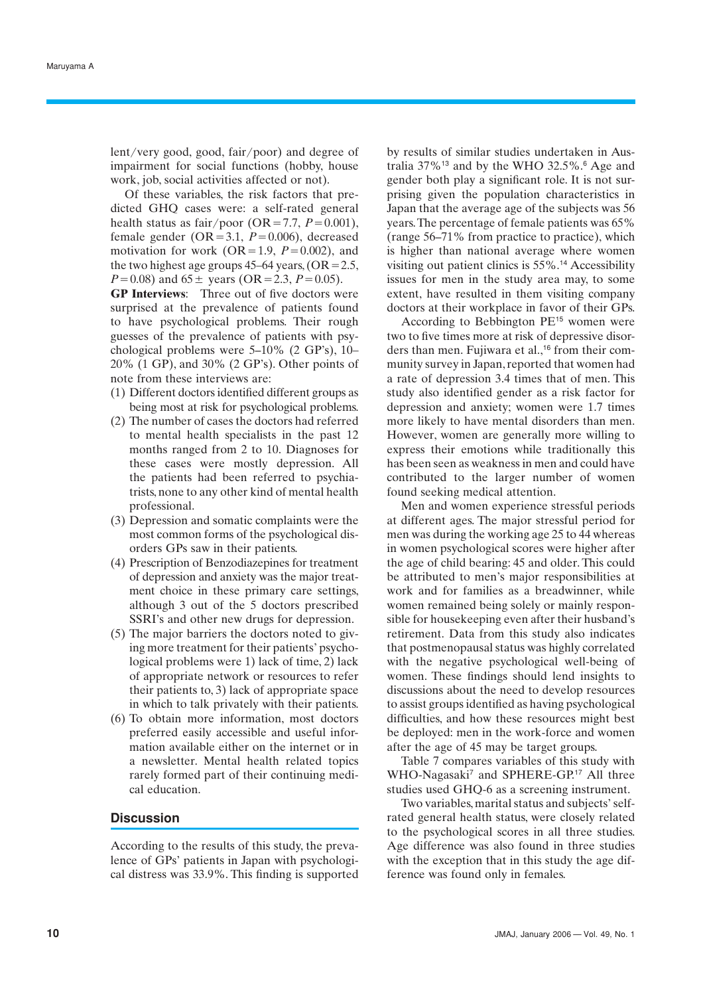lent/very good, good, fair/poor) and degree of impairment for social functions (hobby, house work, job, social activities affected or not).

Of these variables, the risk factors that predicted GHQ cases were: a self-rated general health status as fair/poor (OR=7.7,  $P=0.001$ ), female gender ( $OR = 3.1$ ,  $P = 0.006$ ), decreased motivation for work ( $OR=1.9$ ,  $P=0.002$ ), and the two highest age groups  $45-64$  years,  $(OR=2.5,$  $P = 0.08$ ) and  $65 \pm$  years (OR = 2.3,  $P = 0.05$ ).

**GP Interviews**: Three out of five doctors were surprised at the prevalence of patients found to have psychological problems. Their rough guesses of the prevalence of patients with psychological problems were 5–10% (2 GP's), 10– 20% (1 GP), and 30% (2 GP's). Other points of note from these interviews are:

- (1) Different doctors identified different groups as being most at risk for psychological problems.
- (2) The number of cases the doctors had referred to mental health specialists in the past 12 months ranged from 2 to 10. Diagnoses for these cases were mostly depression. All the patients had been referred to psychiatrists, none to any other kind of mental health professional.
- (3) Depression and somatic complaints were the most common forms of the psychological disorders GPs saw in their patients.
- (4) Prescription of Benzodiazepines for treatment of depression and anxiety was the major treatment choice in these primary care settings, although 3 out of the 5 doctors prescribed SSRI's and other new drugs for depression.
- (5) The major barriers the doctors noted to giving more treatment for their patients' psychological problems were 1) lack of time, 2) lack of appropriate network or resources to refer their patients to, 3) lack of appropriate space in which to talk privately with their patients.
- (6) To obtain more information, most doctors preferred easily accessible and useful information available either on the internet or in a newsletter. Mental health related topics rarely formed part of their continuing medical education.

## **Discussion**

According to the results of this study, the prevalence of GPs' patients in Japan with psychological distress was 33.9%. This finding is supported by results of similar studies undertaken in Australia 37%<sup>13</sup> and by the WHO 32.5%.<sup>6</sup> Age and gender both play a significant role. It is not surprising given the population characteristics in Japan that the average age of the subjects was 56 years. The percentage of female patients was 65% (range 56–71% from practice to practice), which is higher than national average where women visiting out patient clinics is 55%.<sup>14</sup> Accessibility issues for men in the study area may, to some extent, have resulted in them visiting company doctors at their workplace in favor of their GPs.

According to Bebbington PE<sup>15</sup> women were two to five times more at risk of depressive disorders than men. Fujiwara et al.,<sup>16</sup> from their community survey in Japan, reported that women had a rate of depression 3.4 times that of men. This study also identified gender as a risk factor for depression and anxiety; women were 1.7 times more likely to have mental disorders than men. However, women are generally more willing to express their emotions while traditionally this has been seen as weakness in men and could have contributed to the larger number of women found seeking medical attention.

Men and women experience stressful periods at different ages. The major stressful period for men was during the working age 25 to 44 whereas in women psychological scores were higher after the age of child bearing: 45 and older. This could be attributed to men's major responsibilities at work and for families as a breadwinner, while women remained being solely or mainly responsible for housekeeping even after their husband's retirement. Data from this study also indicates that postmenopausal status was highly correlated with the negative psychological well-being of women. These findings should lend insights to discussions about the need to develop resources to assist groups identified as having psychological difficulties, and how these resources might best be deployed: men in the work-force and women after the age of 45 may be target groups.

Table 7 compares variables of this study with WHO-Nagasaki<sup>7</sup> and SPHERE-GP.<sup>17</sup> All three studies used GHQ-6 as a screening instrument.

Two variables, marital status and subjects' selfrated general health status, were closely related to the psychological scores in all three studies. Age difference was also found in three studies with the exception that in this study the age difference was found only in females.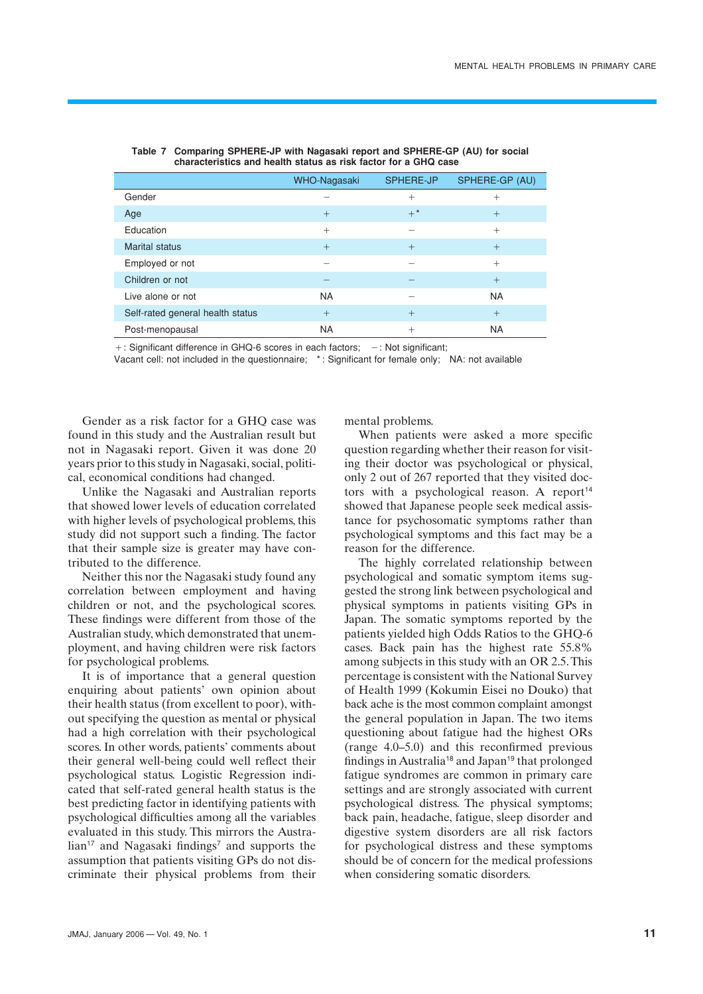|                                  | WHO-Nagasaki | <b>SPHERE-JP</b> | SPHERE-GP (AU) |
|----------------------------------|--------------|------------------|----------------|
| Gender                           |              | $^{+}$           | $+$            |
| Age                              | $^{+}$       | $+$ *            | $+$            |
| Education                        | $^{+}$       |                  | $^{+}$         |
| <b>Marital status</b>            | $+$          | $+$              | $+$            |
| Employed or not                  |              |                  | $^{+}$         |
| Children or not                  |              |                  | $+$            |
| Live alone or not                | <b>NA</b>    |                  | <b>NA</b>      |
| Self-rated general health status | $+$          | $+$              | $+$            |
| Post-menopausal                  | <b>NA</b>    | $^{+}$           | <b>NA</b>      |

| Table 7 Comparing SPHERE-JP with Nagasaki report and SPHERE-GP (AU) for social |
|--------------------------------------------------------------------------------|
| characteristics and health status as risk factor for a GHQ case                |

 $+$ : Significant difference in GHQ-6 scores in each factors;  $-$ : Not significant;

Vacant cell: not included in the questionnaire; \*: Significant for female only; NA: not available

Gender as a risk factor for a GHQ case was found in this study and the Australian result but not in Nagasaki report. Given it was done 20 years prior to this study in Nagasaki, social, political, economical conditions had changed.

Unlike the Nagasaki and Australian reports that showed lower levels of education correlated with higher levels of psychological problems, this study did not support such a finding. The factor that their sample size is greater may have contributed to the difference.

Neither this nor the Nagasaki study found any correlation between employment and having children or not, and the psychological scores. These findings were different from those of the Australian study, which demonstrated that unemployment, and having children were risk factors for psychological problems.

It is of importance that a general question enquiring about patients' own opinion about their health status (from excellent to poor), without specifying the question as mental or physical had a high correlation with their psychological scores. In other words, patients' comments about their general well-being could well reflect their psychological status. Logistic Regression indicated that self-rated general health status is the best predicting factor in identifying patients with psychological difficulties among all the variables evaluated in this study. This mirrors the Austra- $\text{lian}^{\frac{1}{7}}$  and Nagasaki findings<sup>7</sup> and supports the assumption that patients visiting GPs do not discriminate their physical problems from their

mental problems.

When patients were asked a more specific question regarding whether their reason for visiting their doctor was psychological or physical, only 2 out of 267 reported that they visited doctors with a psychological reason. A report $14$ showed that Japanese people seek medical assistance for psychosomatic symptoms rather than psychological symptoms and this fact may be a reason for the difference.

The highly correlated relationship between psychological and somatic symptom items suggested the strong link between psychological and physical symptoms in patients visiting GPs in Japan. The somatic symptoms reported by the patients yielded high Odds Ratios to the GHQ-6 cases. Back pain has the highest rate 55.8% among subjects in this study with an OR 2.5. This percentage is consistent with the National Survey of Health 1999 (Kokumin Eisei no Douko) that back ache is the most common complaint amongst the general population in Japan. The two items questioning about fatigue had the highest ORs (range 4.0–5.0) and this reconfirmed previous findings in Australia<sup>18</sup> and Japan<sup>19</sup> that prolonged fatigue syndromes are common in primary care settings and are strongly associated with current psychological distress. The physical symptoms; back pain, headache, fatigue, sleep disorder and digestive system disorders are all risk factors for psychological distress and these symptoms should be of concern for the medical professions when considering somatic disorders.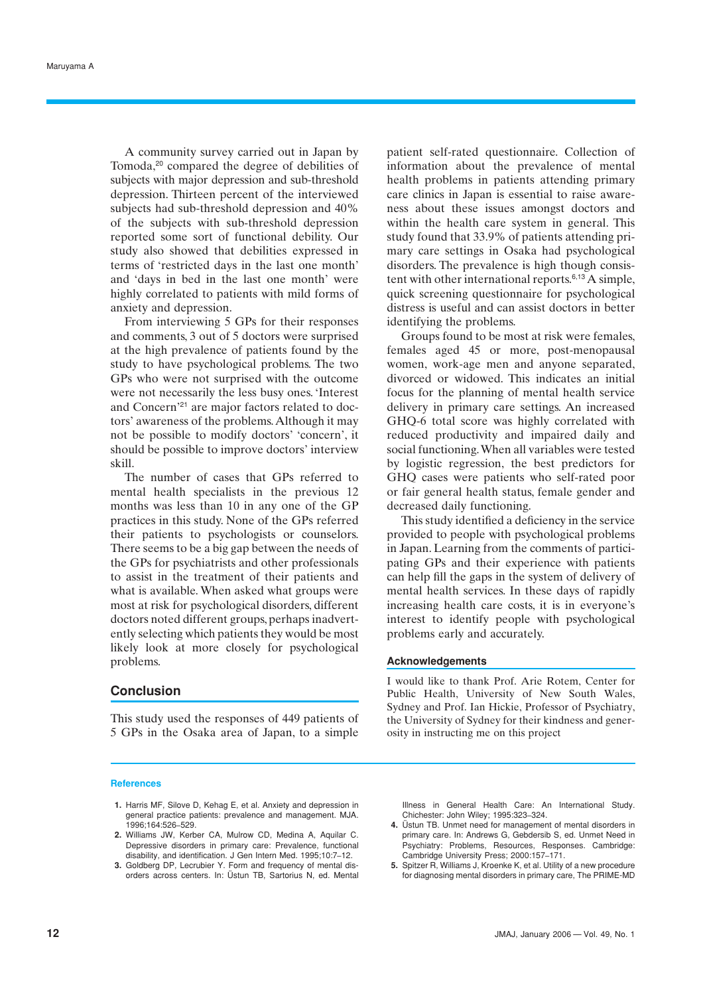A community survey carried out in Japan by Tomoda,<sup>20</sup> compared the degree of debilities of subjects with major depression and sub-threshold depression. Thirteen percent of the interviewed subjects had sub-threshold depression and 40% of the subjects with sub-threshold depression reported some sort of functional debility. Our study also showed that debilities expressed in terms of 'restricted days in the last one month' and 'days in bed in the last one month' were highly correlated to patients with mild forms of anxiety and depression.

From interviewing 5 GPs for their responses and comments, 3 out of 5 doctors were surprised at the high prevalence of patients found by the study to have psychological problems. The two GPs who were not surprised with the outcome were not necessarily the less busy ones. 'Interest and Concern'<sup>21</sup> are major factors related to doctors' awareness of the problems. Although it may not be possible to modify doctors' 'concern', it should be possible to improve doctors' interview skill.

The number of cases that GPs referred to mental health specialists in the previous 12 months was less than 10 in any one of the GP practices in this study. None of the GPs referred their patients to psychologists or counselors. There seems to be a big gap between the needs of the GPs for psychiatrists and other professionals to assist in the treatment of their patients and what is available. When asked what groups were most at risk for psychological disorders, different doctors noted different groups, perhaps inadvertently selecting which patients they would be most likely look at more closely for psychological problems.

## **Conclusion**

This study used the responses of 449 patients of 5 GPs in the Osaka area of Japan, to a simple

#### **References**

- **1.** Harris MF, Silove D, Kehag E, et al. Anxiety and depression in general practice patients: prevalence and management. MJA. 1996;164:526–529.
- **2.** Williams JW, Kerber CA, Mulrow CD, Medina A, Aquilar C. Depressive disorders in primary care: Prevalence, functional disability, and identification. J Gen Intern Med. 1995;10:7–12.
- **3.** Goldberg DP, Lecrubier Y. Form and frequency of mental disorders across centers. In: Üstun TB, Sartorius N, ed. Mental

patient self-rated questionnaire. Collection of information about the prevalence of mental health problems in patients attending primary care clinics in Japan is essential to raise awareness about these issues amongst doctors and within the health care system in general. This study found that 33.9% of patients attending primary care settings in Osaka had psychological disorders. The prevalence is high though consistent with other international reports. $6,13$  A simple, quick screening questionnaire for psychological distress is useful and can assist doctors in better identifying the problems.

Groups found to be most at risk were females, females aged 45 or more, post-menopausal women, work-age men and anyone separated, divorced or widowed. This indicates an initial focus for the planning of mental health service delivery in primary care settings. An increased GHQ-6 total score was highly correlated with reduced productivity and impaired daily and social functioning. When all variables were tested by logistic regression, the best predictors for GHQ cases were patients who self-rated poor or fair general health status, female gender and decreased daily functioning.

This study identified a deficiency in the service provided to people with psychological problems in Japan. Learning from the comments of participating GPs and their experience with patients can help fill the gaps in the system of delivery of mental health services. In these days of rapidly increasing health care costs, it is in everyone's interest to identify people with psychological problems early and accurately.

#### **Acknowledgements**

I would like to thank Prof. Arie Rotem, Center for Public Health, University of New South Wales, Sydney and Prof. Ian Hickie, Professor of Psychiatry, the University of Sydney for their kindness and generosity in instructing me on this project

Illness in General Health Care: An International Study. Chichester: John Wiley; 1995:323–324.

- **4.** Üstun TB. Unmet need for management of mental disorders in primary care. In: Andrews G, Gebdersib S, ed. Unmet Need in Psychiatry: Problems, Resources, Responses. Cambridge: Cambridge University Press; 2000:157–171.
- **5.** Spitzer R, Williams J, Kroenke K, et al. Utility of a new procedure for diagnosing mental disorders in primary care, The PRIME-MD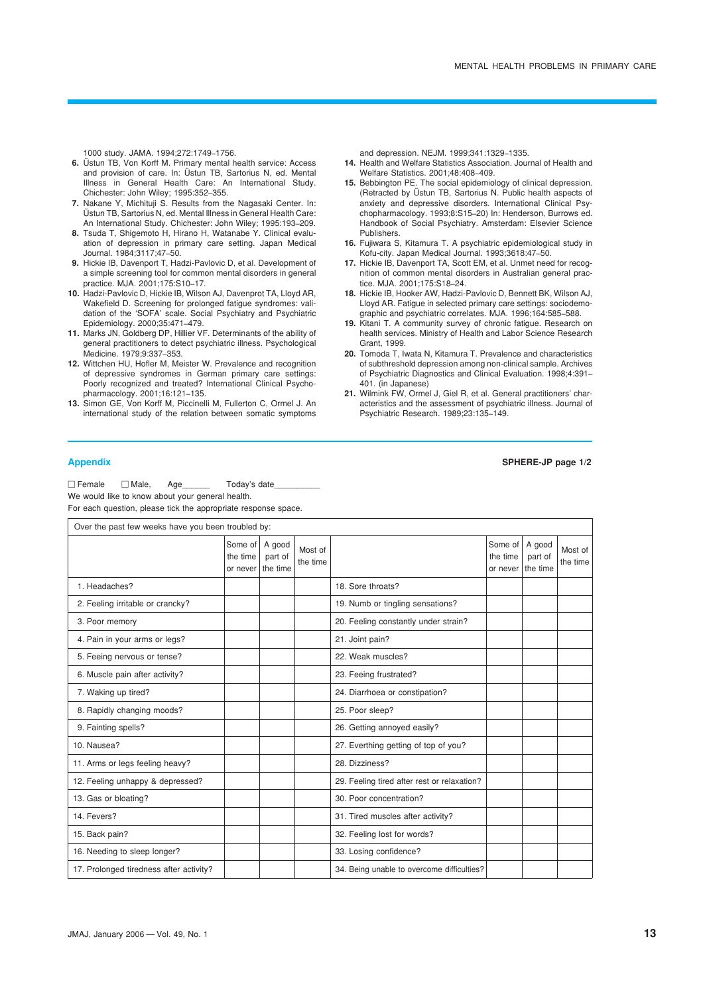1000 study. JAMA. 1994;272:1749–1756.

- **6.** Üstun TB, Von Korff M. Primary mental health service: Access and provision of care. In: Üstun TB, Sartorius N, ed. Mental Illness in General Health Care: An International Study. Chichester: John Wiley; 1995:352–355.
- **7.** Nakane Y, Michituji S. Results from the Nagasaki Center. In: Üstun TB, Sartorius N, ed. Mental Illness in General Health Care: An International Study. Chichester: John Wiley; 1995:193–209.
- **8.** Tsuda T, Shigemoto H, Hirano H, Watanabe Y. Clinical evaluation of depression in primary care setting. Japan Medical Journal. 1984;3117;47–50.
- **9.** Hickie IB, Davenport T, Hadzi-Pavlovic D, et al. Development of a simple screening tool for common mental disorders in general practice. MJA. 2001;175:S10–17.
- **10.** Hadzi-Pavlovic D, Hickie IB, Wilson AJ, Davenprot TA, Lloyd AR, Wakefield D. Screening for prolonged fatigue syndromes: validation of the 'SOFA' scale. Social Psychiatry and Psychiatric Epidemiology. 2000;35:471–479.
- **11.** Marks JN, Goldberg DP, Hillier VF. Determinants of the ability of general practitioners to detect psychiatric illness. Psychological Medicine. 1979;9:337–353.
- **12.** Wittchen HU, Hofler M, Meister W. Prevalence and recognition of depressive syndromes in German primary care settings: Poorly recognized and treated? International Clinical Psychopharmacology. 2001;16:121–135.
- **13.** Simon GE, Von Korff M, Piccinelli M, Fullerton C, Ormel J. An international study of the relation between somatic symptoms

and depression. NEJM. 1999;341:1329–1335.

- **14.** Health and Welfare Statistics Association. Journal of Health and Welfare Statistics. 2001;48:408–409.
- **15.** Bebbington PE. The social epidemiology of clinical depression. (Retracted by Üstun TB, Sartorius N. Public health aspects of anxiety and depressive disorders. International Clinical Psychopharmacology. 1993;8:S15–20) In: Henderson, Burrows ed. Handbook of Social Psychiatry. Amsterdam: Elsevier Science Publishers.
- **16.** Fujiwara S, Kitamura T. A psychiatric epidemiological study in Kofu-city. Japan Medical Journal. 1993;3618:47–50.
- **17.** Hickie IB, Davenport TA, Scott EM, et al. Unmet need for recognition of common mental disorders in Australian general practice. MJA. 2001;175:S18–24.
- **18.** Hickie IB, Hooker AW, Hadzi-Pavlovic D, Bennett BK, Wilson AJ, Lloyd AR. Fatigue in selected primary care settings: sociodemographic and psychiatric correlates. MJA. 1996;164:585–588.
- **19.** Kitani T. A community survey of chronic fatigue. Research on health services. Ministry of Health and Labor Science Research Grant, 1999.
- **20.** Tomoda T, Iwata N, Kitamura T. Prevalence and characteristics of subthreshold depression among non-clinical sample. Archives of Psychiatric Diagnostics and Clinical Evaluation. 1998;4:391– 401. (in Japanese)
- **21.** Wilmink FW, Ormel J, Giel R, et al. General practitioners' characteristics and the assessment of psychiatric illness. Journal of Psychiatric Research. 1989;23:135–149.

## **Appendix SPHERE-JP page 1/2**

 $\Box$  Female  $\Box$  Male, Age  $\Box$  Today's date We would like to know about your general health. For each question, please tick the appropriate response space.

|  |  |  | For each question, please tick the appropriate response space. |  |
|--|--|--|----------------------------------------------------------------|--|
|  |  |  |                                                                |  |

| Over the past few weeks have you been troubled by: |                                 |                               |                     |                                             |                                 |                               |                     |
|----------------------------------------------------|---------------------------------|-------------------------------|---------------------|---------------------------------------------|---------------------------------|-------------------------------|---------------------|
|                                                    | Some of<br>the time<br>or never | A good<br>part of<br>the time | Most of<br>the time |                                             | Some of<br>the time<br>or never | A good<br>part of<br>the time | Most of<br>the time |
| 1. Headaches?                                      |                                 |                               |                     | 18. Sore throats?                           |                                 |                               |                     |
| 2. Feeling irritable or crancky?                   |                                 |                               |                     | 19. Numb or tingling sensations?            |                                 |                               |                     |
| 3. Poor memory                                     |                                 |                               |                     | 20. Feeling constantly under strain?        |                                 |                               |                     |
| 4. Pain in your arms or legs?                      |                                 |                               |                     | 21. Joint pain?                             |                                 |                               |                     |
| 5. Feeing nervous or tense?                        |                                 |                               |                     | 22. Weak muscles?                           |                                 |                               |                     |
| 6. Muscle pain after activity?                     |                                 |                               |                     | 23. Feeing frustrated?                      |                                 |                               |                     |
| 7. Waking up tired?                                |                                 |                               |                     | 24. Diarrhoea or constipation?              |                                 |                               |                     |
| 8. Rapidly changing moods?                         |                                 |                               |                     | 25. Poor sleep?                             |                                 |                               |                     |
| 9. Fainting spells?                                |                                 |                               |                     | 26. Getting annoyed easily?                 |                                 |                               |                     |
| 10. Nausea?                                        |                                 |                               |                     | 27. Everthing getting of top of you?        |                                 |                               |                     |
| 11. Arms or legs feeling heavy?                    |                                 |                               |                     | 28. Dizziness?                              |                                 |                               |                     |
| 12. Feeling unhappy & depressed?                   |                                 |                               |                     | 29. Feeling tired after rest or relaxation? |                                 |                               |                     |
| 13. Gas or bloating?                               |                                 |                               |                     | 30. Poor concentration?                     |                                 |                               |                     |
| 14. Fevers?                                        |                                 |                               |                     | 31. Tired muscles after activity?           |                                 |                               |                     |
| 15. Back pain?                                     |                                 |                               |                     | 32. Feeling lost for words?                 |                                 |                               |                     |
| 16. Needing to sleep longer?                       |                                 |                               |                     | 33. Losing confidence?                      |                                 |                               |                     |
| 17. Prolonged tiredness after activity?            |                                 |                               |                     | 34. Being unable to overcome difficulties?  |                                 |                               |                     |